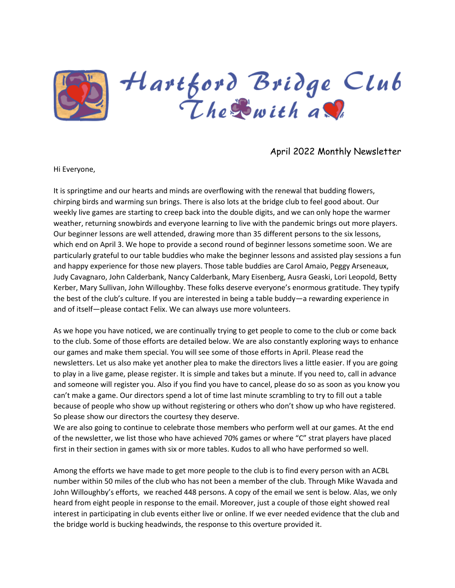

# April 2022 Monthly Newsletter

Hi Everyone,

It is springtime and our hearts and minds are overflowing with the renewal that budding flowers, chirping birds and warming sun brings. There is also lots at the bridge club to feel good about. Our weekly live games are starting to creep back into the double digits, and we can only hope the warmer weather, returning snowbirds and everyone learning to live with the pandemic brings out more players. Our beginner lessons are well attended, drawing more than 35 different persons to the six lessons, which end on April 3. We hope to provide a second round of beginner lessons sometime soon. We are particularly grateful to our table buddies who make the beginner lessons and assisted play sessions a fun and happy experience for those new players. Those table buddies are Carol Amaio, Peggy Arseneaux, Judy Cavagnaro, John Calderbank, Nancy Calderbank, Mary Eisenberg, Ausra Geaski, Lori Leopold, Betty Kerber, Mary Sullivan, John Willoughby. These folks deserve everyone's enormous gratitude. They typify the best of the club's culture. If you are interested in being a table buddy—a rewarding experience in and of itself—please contact Felix. We can always use more volunteers.

As we hope you have noticed, we are continually trying to get people to come to the club or come back to the club. Some of those efforts are detailed below. We are also constantly exploring ways to enhance our games and make them special. You will see some of those efforts in April. Please read the newsletters. Let us also make yet another plea to make the directors lives a little easier. If you are going to play in a live game, please register. It is simple and takes but a minute. If you need to, call in advance and someone will register you. Also if you find you have to cancel, please do so as soon as you know you can't make a game. Our directors spend a lot of time last minute scrambling to try to fill out a table because of people who show up without registering or others who don't show up who have registered. So please show our directors the courtesy they deserve.

We are also going to continue to celebrate those members who perform well at our games. At the end of the newsletter, we list those who have achieved 70% games or where "C" strat players have placed first in their section in games with six or more tables. Kudos to all who have performed so well.

Among the efforts we have made to get more people to the club is to find every person with an ACBL number within 50 miles of the club who has not been a member of the club. Through Mike Wavada and John Willoughby's efforts, we reached 448 persons. A copy of the email we sent is below. Alas, we only heard from eight people in response to the email. Moreover, just a couple of those eight showed real interest in participating in club events either live or online. If we ever needed evidence that the club and the bridge world is bucking headwinds, the response to this overture provided it.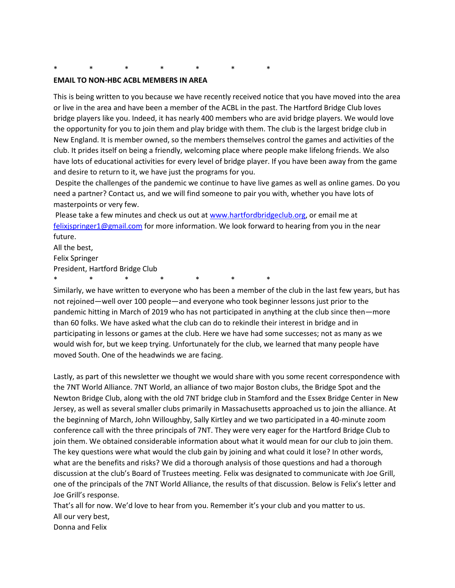### \* \* \* \* \* \* \*

#### **EMAIL TO NON-HBC ACBL MEMBERS IN AREA**

This is being written to you because we have recently received notice that you have moved into the area or live in the area and have been a member of the ACBL in the past. The Hartford Bridge Club loves bridge players like you. Indeed, it has nearly 400 members who are avid bridge players. We would love the opportunity for you to join them and play bridge with them. The club is the largest bridge club in New England. It is member owned, so the members themselves control the games and activities of the club. It prides itself on being a friendly, welcoming place where people make lifelong friends. We also have lots of educational activities for every level of bridge player. If you have been away from the game and desire to return to it, we have just the programs for you.

Despite the challenges of the pandemic we continue to have live games as well as online games. Do you need a partner? Contact us, and we will find someone to pair you with, whether you have lots of masterpoints or very few.

Please take a few minutes and check us out at [www.hartfordbridgeclub.org,](http://www.hartfordbridgeclub.org/) or email me at [felixjspringer1@gmail.com](mailto:felixjspringer1@gmail.com) for more information. We look forward to hearing from you in the near future.

All the best,

Felix Springer

President, Hartford Bridge Club

\* \* \* \* \* \* \*

Similarly, we have written to everyone who has been a member of the club in the last few years, but has not rejoined—well over 100 people—and everyone who took beginner lessons just prior to the pandemic hitting in March of 2019 who has not participated in anything at the club since then—more than 60 folks. We have asked what the club can do to rekindle their interest in bridge and in participating in lessons or games at the club. Here we have had some successes; not as many as we would wish for, but we keep trying. Unfortunately for the club, we learned that many people have moved South. One of the headwinds we are facing.

Lastly, as part of this newsletter we thought we would share with you some recent correspondence with the 7NT World Alliance. 7NT World, an alliance of two major Boston clubs, the Bridge Spot and the Newton Bridge Club, along with the old 7NT bridge club in Stamford and the Essex Bridge Center in New Jersey, as well as several smaller clubs primarily in Massachusetts approached us to join the alliance. At the beginning of March, John Willoughby, Sally Kirtley and we two participated in a 40-minute zoom conference call with the three principals of 7NT. They were very eager for the Hartford Bridge Club to join them. We obtained considerable information about what it would mean for our club to join them. The key questions were what would the club gain by joining and what could it lose? In other words, what are the benefits and risks? We did a thorough analysis of those questions and had a thorough discussion at the club's Board of Trustees meeting. Felix was designated to communicate with Joe Grill, one of the principals of the 7NT World Alliance, the results of that discussion. Below is Felix's letter and Joe Grill's response.

That's all for now. We'd love to hear from you. Remember it's your club and you matter to us. All our very best, Donna and Felix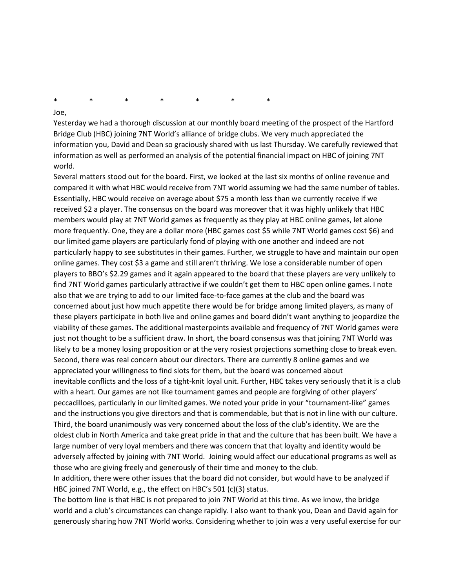\* \* \* \* \* \* \*

#### Joe,

Yesterday we had a thorough discussion at our monthly board meeting of the prospect of the Hartford Bridge Club (HBC) joining 7NT World's alliance of bridge clubs. We very much appreciated the information you, David and Dean so graciously shared with us last Thursday. We carefully reviewed that information as well as performed an analysis of the potential financial impact on HBC of joining 7NT world.

Several matters stood out for the board. First, we looked at the last six months of online revenue and compared it with what HBC would receive from 7NT world assuming we had the same number of tables. Essentially, HBC would receive on average about \$75 a month less than we currently receive if we received \$2 a player. The consensus on the board was moreover that it was highly unlikely that HBC members would play at 7NT World games as frequently as they play at HBC online games, let alone more frequently. One, they are a dollar more (HBC games cost \$5 while 7NT World games cost \$6) and our limited game players are particularly fond of playing with one another and indeed are not particularly happy to see substitutes in their games. Further, we struggle to have and maintain our open online games. They cost \$3 a game and still aren't thriving. We lose a considerable number of open players to BBO's \$2.29 games and it again appeared to the board that these players are very unlikely to find 7NT World games particularly attractive if we couldn't get them to HBC open online games. I note also that we are trying to add to our limited face-to-face games at the club and the board was concerned about just how much appetite there would be for bridge among limited players, as many of these players participate in both live and online games and board didn't want anything to jeopardize the viability of these games. The additional masterpoints available and frequency of 7NT World games were just not thought to be a sufficient draw. In short, the board consensus was that joining 7NT World was likely to be a money losing proposition or at the very rosiest projections something close to break even. Second, there was real concern about our directors. There are currently 8 online games and we appreciated your willingness to find slots for them, but the board was concerned about inevitable conflicts and the loss of a tight-knit loyal unit. Further, HBC takes very seriously that it is a club with a heart. Our games are not like tournament games and people are forgiving of other players' peccadilloes, particularly in our limited games. We noted your pride in your "tournament-like" games and the instructions you give directors and that is commendable, but that is not in line with our culture. Third, the board unanimously was very concerned about the loss of the club's identity. We are the oldest club in North America and take great pride in that and the culture that has been built. We have a large number of very loyal members and there was concern that that loyalty and identity would be adversely affected by joining with 7NT World. Joining would affect our educational programs as well as those who are giving freely and generously of their time and money to the club.

In addition, there were other issues that the board did not consider, but would have to be analyzed if HBC joined 7NT World, e.g., the effect on HBC's 501 (c)(3) status.

The bottom line is that HBC is not prepared to join 7NT World at this time. As we know, the bridge world and a club's circumstances can change rapidly. I also want to thank you, Dean and David again for generously sharing how 7NT World works. Considering whether to join was a very useful exercise for our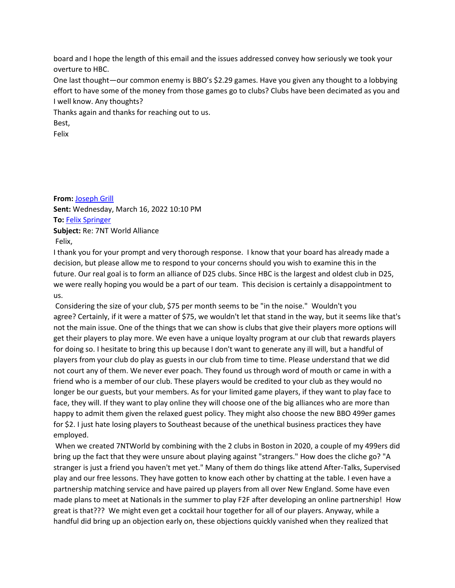board and I hope the length of this email and the issues addressed convey how seriously we took your overture to HBC.

One last thought—our common enemy is BBO's \$2.29 games. Have you given any thought to a lobbying effort to have some of the money from those games go to clubs? Clubs have been decimated as you and I well know. Any thoughts?

Thanks again and thanks for reaching out to us.

Best,

Felix

**From:** [Joseph Grill](mailto:joseph.michael.grill@gmail.com) **Sent:** Wednesday, March 16, 2022 10:10 PM **To:** [Felix Springer](mailto:felixjspringer1@gmail.com) **Subject:** Re: 7NT World Alliance Felix,

I thank you for your prompt and very thorough response. I know that your board has already made a decision, but please allow me to respond to your concerns should you wish to examine this in the future. Our real goal is to form an alliance of D25 clubs. Since HBC is the largest and oldest club in D25, we were really hoping you would be a part of our team. This decision is certainly a disappointment to us.

Considering the size of your club, \$75 per month seems to be "in the noise." Wouldn't you agree? Certainly, if it were a matter of \$75, we wouldn't let that stand in the way, but it seems like that's not the main issue. One of the things that we can show is clubs that give their players more options will get their players to play more. We even have a unique loyalty program at our club that rewards players for doing so. I hesitate to bring this up because I don't want to generate any ill will, but a handful of players from your club do play as guests in our club from time to time. Please understand that we did not court any of them. We never ever poach. They found us through word of mouth or came in with a friend who is a member of our club. These players would be credited to your club as they would no longer be our guests, but your members. As for your limited game players, if they want to play face to face, they will. If they want to play online they will choose one of the big alliances who are more than happy to admit them given the relaxed guest policy. They might also choose the new BBO 499er games for \$2. I just hate losing players to Southeast because of the unethical business practices they have employed.

When we created 7NTWorld by combining with the 2 clubs in Boston in 2020, a couple of my 499ers did bring up the fact that they were unsure about playing against "strangers." How does the cliche go? "A stranger is just a friend you haven't met yet." Many of them do things like attend After-Talks, Supervised play and our free lessons. They have gotten to know each other by chatting at the table. I even have a partnership matching service and have paired up players from all over New England. Some have even made plans to meet at Nationals in the summer to play F2F after developing an online partnership! How great is that??? We might even get a cocktail hour together for all of our players. Anyway, while a handful did bring up an objection early on, these objections quickly vanished when they realized that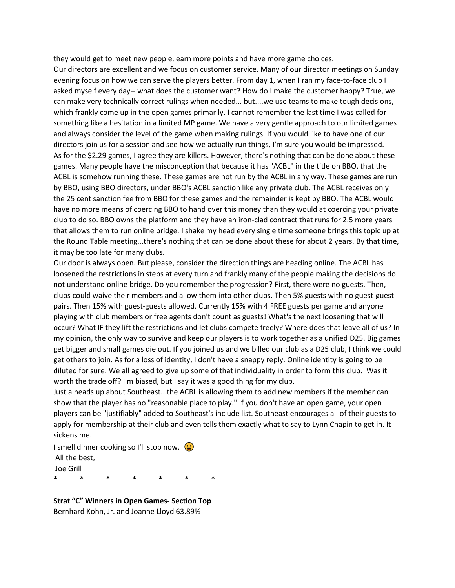they would get to meet new people, earn more points and have more game choices.

Our directors are excellent and we focus on customer service. Many of our director meetings on Sunday evening focus on how we can serve the players better. From day 1, when I ran my face-to-face club I asked myself every day-- what does the customer want? How do I make the customer happy? True, we can make very technically correct rulings when needed... but....we use teams to make tough decisions, which frankly come up in the open games primarily. I cannot remember the last time I was called for something like a hesitation in a limited MP game. We have a very gentle approach to our limited games and always consider the level of the game when making rulings. If you would like to have one of our directors join us for a session and see how we actually run things, I'm sure you would be impressed. As for the \$2.29 games, I agree they are killers. However, there's nothing that can be done about these games. Many people have the misconception that because it has "ACBL" in the title on BBO, that the ACBL is somehow running these. These games are not run by the ACBL in any way. These games are run by BBO, using BBO directors, under BBO's ACBL sanction like any private club. The ACBL receives only the 25 cent sanction fee from BBO for these games and the remainder is kept by BBO. The ACBL would have no more means of coercing BBO to hand over this money than they would at coercing your private club to do so. BBO owns the platform and they have an iron-clad contract that runs for 2.5 more years that allows them to run online bridge. I shake my head every single time someone brings this topic up at the Round Table meeting...there's nothing that can be done about these for about 2 years. By that time, it may be too late for many clubs.

Our door is always open. But please, consider the direction things are heading online. The ACBL has loosened the restrictions in steps at every turn and frankly many of the people making the decisions do not understand online bridge. Do you remember the progression? First, there were no guests. Then, clubs could waive their members and allow them into other clubs. Then 5% guests with no guest-guest pairs. Then 15% with guest-guests allowed. Currently 15% with 4 FREE guests per game and anyone playing with club members or free agents don't count as guests! What's the next loosening that will occur? What IF they lift the restrictions and let clubs compete freely? Where does that leave all of us? In my opinion, the only way to survive and keep our players is to work together as a unified D25. Big games get bigger and small games die out. If you joined us and we billed our club as a D25 club, I think we could get others to join. As for a loss of identity, I don't have a snappy reply. Online identity is going to be diluted for sure. We all agreed to give up some of that individuality in order to form this club. Was it worth the trade off? I'm biased, but I say it was a good thing for my club.

Just a heads up about Southeast...the ACBL is allowing them to add new members if the member can show that the player has no "reasonable place to play." If you don't have an open game, your open players can be "justifiably" added to Southeast's include list. Southeast encourages all of their guests to apply for membership at their club and even tells them exactly what to say to Lynn Chapin to get in. It sickens me.

I smell dinner cooking so I'll stop now.  $\bigcirc$ All the best, Joe Grill **\* \* \* \* \* \* \***

**Strat "C" Winners in Open Games- Section Top** Bernhard Kohn, Jr. and Joanne Lloyd 63.89%